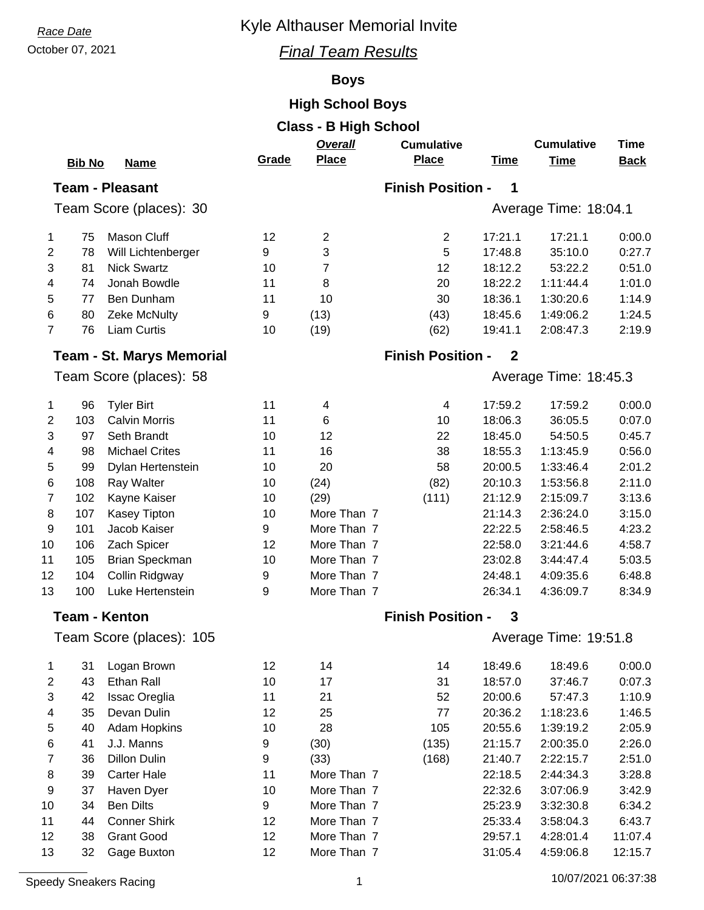# **Race Date Race Date Race Date Race Date Race Date Race Date Race Date Race Date Race 2013**

### October 07, 2021 *Final Team Results*

### **Boys**

### **High School Boys**

|                          |               |                                  |       | <b>Class - B High School</b> |                          |              |                   |             |  |  |
|--------------------------|---------------|----------------------------------|-------|------------------------------|--------------------------|--------------|-------------------|-------------|--|--|
|                          |               |                                  |       | Overall                      | <b>Cumulative</b>        |              | <b>Cumulative</b> | <b>Time</b> |  |  |
|                          | <b>Bib No</b> | <b>Name</b>                      | Grade | <b>Place</b>                 | <b>Place</b>             | <b>Time</b>  | <b>Time</b>       | <b>Back</b> |  |  |
|                          |               | <b>Team - Pleasant</b>           |       |                              | <b>Finish Position -</b> | 1            |                   |             |  |  |
| Team Score (places): 30  |               |                                  |       | Average Time: 18:04.1        |                          |              |                   |             |  |  |
| 1                        | 75            | <b>Mason Cluff</b>               | 12    | $\overline{2}$               | $\mathbf{2}$             | 17:21.1      | 17:21.1           | 0:00.0      |  |  |
| $\overline{2}$           | 78            | Will Lichtenberger               | 9     | 3                            | 5                        | 17:48.8      | 35:10.0           | 0:27.7      |  |  |
| 3                        | 81            | <b>Nick Swartz</b>               | 10    | 7                            | 12                       | 18:12.2      | 53:22.2           | 0:51.0      |  |  |
| 4                        | 74            | Jonah Bowdle                     | 11    | 8                            | 20                       | 18:22.2      | 1:11:44.4         | 1:01.0      |  |  |
| 5                        | 77            | Ben Dunham                       | 11    | 10                           | 30                       | 18:36.1      | 1:30:20.6         | 1:14.9      |  |  |
| 6                        | 80            | Zeke McNulty                     | 9     | (13)                         | (43)                     | 18:45.6      | 1:49:06.2         | 1:24.5      |  |  |
| $\overline{7}$           | 76            | <b>Liam Curtis</b>               | 10    | (19)                         | (62)                     | 19:41.1      | 2:08:47.3         | 2:19.9      |  |  |
|                          |               | <b>Team - St. Marys Memorial</b> |       |                              | <b>Finish Position -</b> | $\mathbf{2}$ |                   |             |  |  |
|                          |               | Team Score (places): 58          |       |                              | Average Time: 18:45.3    |              |                   |             |  |  |
| 1                        | 96            | <b>Tyler Birt</b>                | 11    | 4                            | $\overline{\mathbf{4}}$  | 17:59.2      | 17:59.2           | 0:00.0      |  |  |
| $\overline{2}$           | 103           | <b>Calvin Morris</b>             | 11    | 6                            | 10                       | 18:06.3      | 36:05.5           | 0:07.0      |  |  |
| 3                        | 97            | Seth Brandt                      | 10    | 12                           | 22                       | 18:45.0      | 54:50.5           | 0:45.7      |  |  |
| 4                        | 98            | <b>Michael Crites</b>            | 11    | 16                           | 38                       | 18:55.3      | 1:13:45.9         | 0:56.0      |  |  |
| 5                        | 99            | Dylan Hertenstein                | 10    | 20                           | 58                       | 20:00.5      | 1:33:46.4         | 2:01.2      |  |  |
| 6                        | 108           | Ray Walter                       | 10    | (24)                         | (82)                     | 20:10.3      | 1:53:56.8         | 2:11.0      |  |  |
| $\overline{7}$           | 102           | Kayne Kaiser                     | 10    | (29)                         | (111)                    | 21:12.9      | 2:15:09.7         | 3:13.6      |  |  |
| 8                        | 107           | Kasey Tipton                     | 10    | More Than 7                  |                          | 21:14.3      | 2:36:24.0         | 3:15.0      |  |  |
| 9                        | 101           | Jacob Kaiser                     | 9     | More Than 7                  |                          | 22:22.5      | 2:58:46.5         | 4:23.2      |  |  |
| 10                       | 106           | Zach Spicer                      | 12    | More Than 7                  |                          | 22:58.0      | 3:21:44.6         | 4:58.7      |  |  |
| 11                       | 105           | <b>Brian Speckman</b>            | 10    | More Than 7                  |                          | 23:02.8      | 3:44:47.4         | 5:03.5      |  |  |
| 12                       | 104           | Collin Ridgway                   | 9     | More Than 7                  |                          | 24:48.1      | 4:09:35.6         | 6:48.8      |  |  |
| 13                       | 100           | Luke Hertenstein                 | 9     | More Than 7                  |                          | 26:34.1      | 4:36:09.7         | 8:34.9      |  |  |
|                          |               | <b>Team - Kenton</b>             |       |                              | <b>Finish Position -</b> | 3            |                   |             |  |  |
| Team Score (places): 105 |               |                                  |       |                              | Average Time: 19:51.8    |              |                   |             |  |  |
| 1                        | 31            | Logan Brown                      | 12    | 14                           | 14                       | 18:49.6      | 18:49.6           | 0.00.0      |  |  |
| $\mathbf{2}$             | 43            | Ethan Rall                       | 10    | 17                           | 31                       | 18:57.0      | 37:46.7           | 0:07.3      |  |  |
| 3                        | 42            | Issac Oreglia                    | 11    | 21                           | 52                       | 20:00.6      | 57:47.3           | 1:10.9      |  |  |
| 4                        | 35            | Devan Dulin                      | 12    | 25                           | 77                       | 20:36.2      | 1:18:23.6         | 1:46.5      |  |  |
| 5                        | 40            | Adam Hopkins                     | 10    | 28                           | 105                      | 20:55.6      | 1:39:19.2         | 2:05.9      |  |  |
| 6                        | 41            | J.J. Manns                       | 9     | (30)                         | (135)                    | 21:15.7      | 2:00:35.0         | 2:26.0      |  |  |
| $\overline{7}$           | 36            | <b>Dillon Dulin</b>              | 9     | (33)                         | (168)                    | 21:40.7      | 2:22:15.7         | 2:51.0      |  |  |
| 8                        | 39            | <b>Carter Hale</b>               | 11    | More Than 7                  |                          | 22:18.5      | 2:44:34.3         | 3:28.8      |  |  |
| 9                        | 37            | Haven Dyer                       | 10    | More Than 7                  |                          | 22:32.6      | 3:07:06.9         | 3:42.9      |  |  |

 34 Ben Dilts 9 More Than 7 25:23.9 3:32:30.8 6:34.2 44 Conner Shirk 12 More Than 7 25:33.4 3:58:04.3 6:43.7 38 Grant Good 12 More Than 7 29:57.1 4:28:01.4 11:07.4 32 Gage Buxton 12 More Than 7 31:05.4 4:59:06.8 12:15.7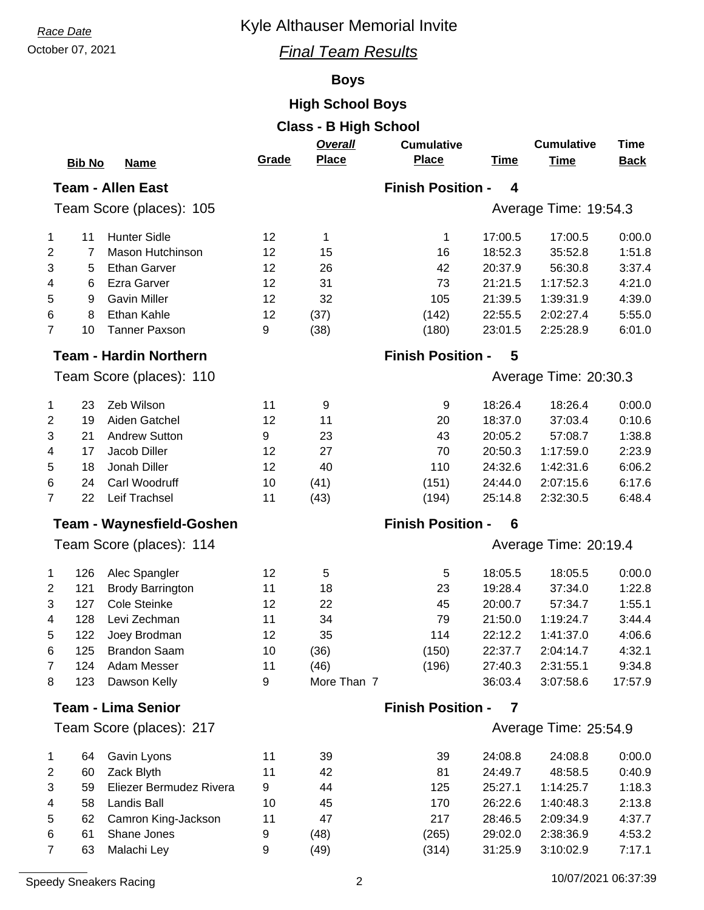# **Race Date Race Date Race Date Race Date Race Date Race Date Race Date Race 2013**

## October 07, 2021 *Final Team Results*

## **Boys**

# **High School Boys**

| <b>Class - B High School</b> |                           |                                  |       |                                              |                               |             |                       |             |  |  |
|------------------------------|---------------------------|----------------------------------|-------|----------------------------------------------|-------------------------------|-------------|-----------------------|-------------|--|--|
|                              |                           |                                  |       | Overall                                      | <b>Cumulative</b>             |             | <b>Cumulative</b>     | <b>Time</b> |  |  |
|                              | <b>Bib No</b>             | <b>Name</b>                      | Grade | <b>Place</b>                                 | <b>Place</b>                  | <b>Time</b> | <b>Time</b>           | <b>Back</b> |  |  |
|                              | <b>Team - Allen East</b>  |                                  |       | <b>Finish Position -</b><br>$\boldsymbol{4}$ |                               |             |                       |             |  |  |
|                              |                           | Team Score (places): 105         |       |                                              | Average Time: 19:54.3         |             |                       |             |  |  |
|                              |                           |                                  |       |                                              |                               |             |                       |             |  |  |
| 1                            | 11                        | <b>Hunter Sidle</b>              | 12    | 1                                            | 1                             | 17:00.5     | 17:00.5               | 0:00.0      |  |  |
| 2                            | 7                         | Mason Hutchinson                 | 12    | 15                                           | 16                            | 18:52.3     | 35:52.8               | 1:51.8      |  |  |
| 3                            | 5                         | <b>Ethan Garver</b>              | 12    | 26                                           | 42                            | 20:37.9     | 56:30.8               | 3:37.4      |  |  |
| 4                            | 6                         | Ezra Garver                      | 12    | 31                                           | 73                            | 21:21.5     | 1:17:52.3             | 4:21.0      |  |  |
| 5                            | 9                         | <b>Gavin Miller</b>              | 12    | 32                                           | 105                           | 21:39.5     | 1:39:31.9             | 4:39.0      |  |  |
| 6                            | 8                         | Ethan Kahle                      | 12    | (37)                                         | (142)                         | 22:55.5     | 2:02:27.4             | 5:55.0      |  |  |
| $\overline{7}$               | 10                        | <b>Tanner Paxson</b>             | 9     | (38)                                         | (180)                         | 23:01.5     | 2:25:28.9             | 6:01.0      |  |  |
|                              |                           | <b>Team - Hardin Northern</b>    |       |                                              | <b>Finish Position -</b><br>5 |             |                       |             |  |  |
| Team Score (places): 110     |                           |                                  |       |                                              | Average Time: 20:30.3         |             |                       |             |  |  |
| 1                            | 23                        | Zeb Wilson                       | 11    | 9                                            | 9                             | 18:26.4     | 18:26.4               | 0:00.0      |  |  |
| 2                            | 19                        | Aiden Gatchel                    | 12    | 11                                           | 20                            | 18:37.0     | 37:03.4               | 0:10.6      |  |  |
| 3                            | 21                        | <b>Andrew Sutton</b>             | 9     | 23                                           | 43                            | 20:05.2     | 57:08.7               | 1:38.8      |  |  |
| 4                            | 17                        | Jacob Diller                     | 12    | 27                                           | 70                            | 20:50.3     | 1:17:59.0             | 2:23.9      |  |  |
| 5                            | 18                        | Jonah Diller                     | 12    | 40                                           | 110                           | 24:32.6     | 1:42:31.6             | 6:06.2      |  |  |
| 6                            | 24                        | Carl Woodruff                    | 10    | (41)                                         | (151)                         | 24:44.0     | 2:07:15.6             | 6:17.6      |  |  |
| $\overline{7}$               | 22                        | Leif Trachsel                    | 11    | (43)                                         | (194)                         | 25:14.8     | 2:32:30.5             | 6:48.4      |  |  |
|                              |                           | <b>Team - Waynesfield-Goshen</b> |       |                                              | <b>Finish Position -</b>      | 6           |                       |             |  |  |
|                              |                           |                                  |       |                                              |                               |             |                       |             |  |  |
|                              |                           | Team Score (places): 114         |       |                                              | Average Time: 20:19.4         |             |                       |             |  |  |
| 1                            | 126                       | Alec Spangler                    | 12    | 5                                            | 5                             | 18:05.5     | 18:05.5               | 0:00.0      |  |  |
| 2                            | 121                       | <b>Brody Barrington</b>          | 11    | 18                                           | 23                            | 19:28.4     | 37:34.0               | 1:22.8      |  |  |
| 3                            | 127                       | Cole Steinke                     | 12    | 22                                           | 45                            | 20:00.7     | 57:34.7               | 1:55.1      |  |  |
| 4                            | 128                       | Levi Zechman                     | 11    | 34                                           | 79                            | 21:50.0     | 1:19:24.7             | 3:44.4      |  |  |
| 5                            | 122                       | Joey Brodman                     | 12    | 35                                           | 114                           | 22:12.2     | 1:41:37.0             | 4:06.6      |  |  |
| 6                            | 125                       | <b>Brandon Saam</b>              | 10    | (36)                                         | (150)                         | 22:37.7     | 2:04:14.7             | 4:32.1      |  |  |
| 7                            | 124                       | Adam Messer                      | 11    | (46)                                         | (196)                         | 27:40.3     | 2:31:55.1             | 9:34.8      |  |  |
| 8                            | 123                       | Dawson Kelly                     | 9     | More Than 7                                  |                               | 36:03.4     | 3:07:58.6             | 17:57.9     |  |  |
|                              | <b>Team - Lima Senior</b> |                                  |       | <b>Finish Position -</b><br>7                |                               |             |                       |             |  |  |
| Team Score (places): 217     |                           |                                  |       |                                              |                               |             | Average Time: 25:54.9 |             |  |  |
| 1                            | 64                        | Gavin Lyons                      | 11    | 39                                           | 39                            | 24:08.8     | 24:08.8               | 0:00.0      |  |  |
| 2                            | 60                        | Zack Blyth                       | 11    | 42                                           | 81                            | 24:49.7     | 48:58.5               | 0:40.9      |  |  |
| 3                            | 59                        | Eliezer Bermudez Rivera          | 9     | 44                                           | 125                           | 25:27.1     | 1:14:25.7             | 1:18.3      |  |  |
| 4                            | 58                        | Landis Ball                      | 10    | 45                                           | 170                           | 26:22.6     | 1:40:48.3             | 2:13.8      |  |  |
| 5                            | 62                        | Camron King-Jackson              | 11    | 47                                           | 217                           | 28:46.5     | 2:09:34.9             | 4:37.7      |  |  |
| 6                            | 61                        | Shane Jones                      | 9     | (48)                                         | (265)                         | 29:02.0     | 2:38:36.9             | 4:53.2      |  |  |
| 7                            | 63                        | Malachi Ley                      | 9     | (49)                                         | (314)                         | 31:25.9     | 3:10:02.9             | 7:17.1      |  |  |
|                              |                           |                                  |       |                                              |                               |             |                       |             |  |  |